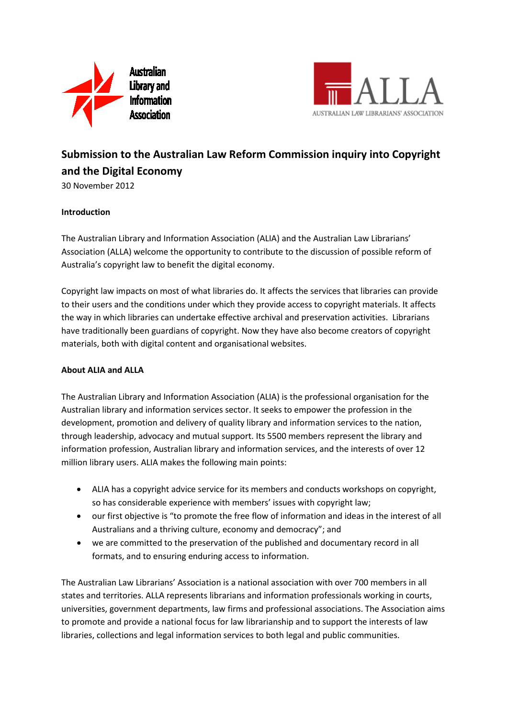



# **Submission to the Australian Law Reform Commission inquiry into Copyright and the Digital Economy**

30 November 2012

## **Introduction**

The Australian Library and Information Association (ALIA) and the Australian Law Librarians' Association (ALLA) welcome the opportunity to contribute to the discussion of possible reform of Australia's copyright law to benefit the digital economy.

Copyright law impacts on most of what libraries do. It affects the services that libraries can provide to their users and the conditions under which they provide access to copyright materials. It affects the way in which libraries can undertake effective archival and preservation activities. Librarians have traditionally been guardians of copyright. Now they have also become creators of copyright materials, both with digital content and organisational websites.

## **About ALIA and ALLA**

The Australian Library and Information Association (ALIA) is the professional organisation for the Australian library and information services sector. It seeks to empower the profession in the development, promotion and delivery of quality library and information services to the nation, through leadership, advocacy and mutual support. Its 5500 members represent the library and information profession, Australian library and information services, and the interests of over 12 million library users. ALIA makes the following main points:

- ALIA has a copyright advice service for its members and conducts workshops on copyright, so has considerable experience with members' issues with copyright law;
- our first objective is "to promote the free flow of information and ideas in the interest of all Australians and a thriving culture, economy and democracy"; and
- we are committed to the preservation of the published and documentary record in all formats, and to ensuring enduring access to information.

The Australian Law Librarians' Association is a national association with over 700 members in all states and territories. ALLA represents librarians and information professionals working in courts, universities, government departments, law firms and professional associations. The Association aims to promote and provide a national focus for law librarianship and to support the interests of law libraries, collections and legal information services to both legal and public communities.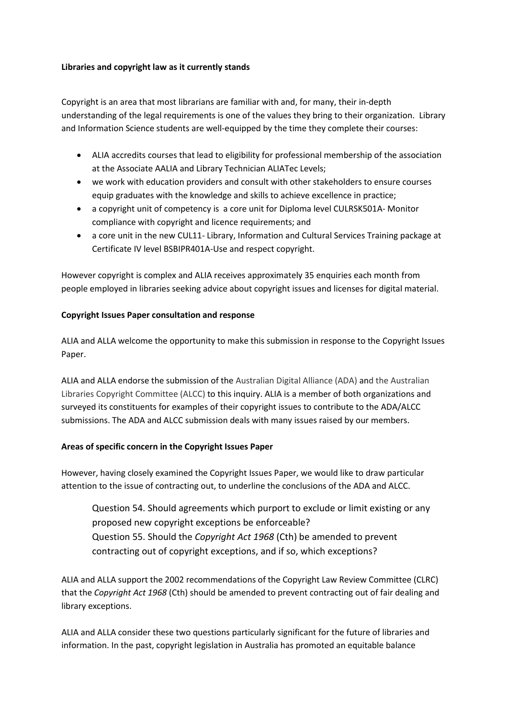#### **Libraries and copyright law as it currently stands**

Copyright is an area that most librarians are familiar with and, for many, their in-depth understanding of the legal requirements is one of the values they bring to their organization. Library and Information Science students are well-equipped by the time they complete their courses:

- ALIA accredits courses that lead to eligibility for professional membership of the association at the Associate AALIA and Library Technician ALIATec Levels;
- we work with education providers and consult with other stakeholders to ensure courses equip graduates with the knowledge and skills to achieve excellence in practice;
- a copyright unit of competency is a core unit for Diploma level CULRSK501A- Monitor compliance with copyright and licence requirements; and
- a core unit in the new CUL11- Library, Information and Cultural Services Training package at Certificate IV level BSBIPR401A-Use and respect copyright.

However copyright is complex and ALIA receives approximately 35 enquiries each month from people employed in libraries seeking advice about copyright issues and licenses for digital material.

## **Copyright Issues Paper consultation and response**

ALIA and ALLA welcome the opportunity to make this submission in response to the Copyright Issues Paper.

ALIA and ALLA endorse the submission of the Australian Digital Alliance (ADA) and the Australian Libraries Copyright Committee (ALCC) to this inquiry. ALIA is a member of both organizations and surveyed its constituents for examples of their copyright issues to contribute to the ADA/ALCC submissions. The ADA and ALCC submission deals with many issues raised by our members.

## **Areas of specific concern in the Copyright Issues Paper**

However, having closely examined the Copyright Issues Paper, we would like to draw particular attention to the issue of contracting out, to underline the conclusions of the ADA and ALCC.

Question 54. Should agreements which purport to exclude or limit existing or any proposed new copyright exceptions be enforceable? Question 55. Should the *Copyright Act 1968* (Cth) be amended to prevent contracting out of copyright exceptions, and if so, which exceptions?

ALIA and ALLA support the 2002 recommendations of the Copyright Law Review Committee (CLRC) that the *Copyright Act 1968* (Cth) should be amended to prevent contracting out of fair dealing and library exceptions.

ALIA and ALLA consider these two questions particularly significant for the future of libraries and information. In the past, copyright legislation in Australia has promoted an equitable balance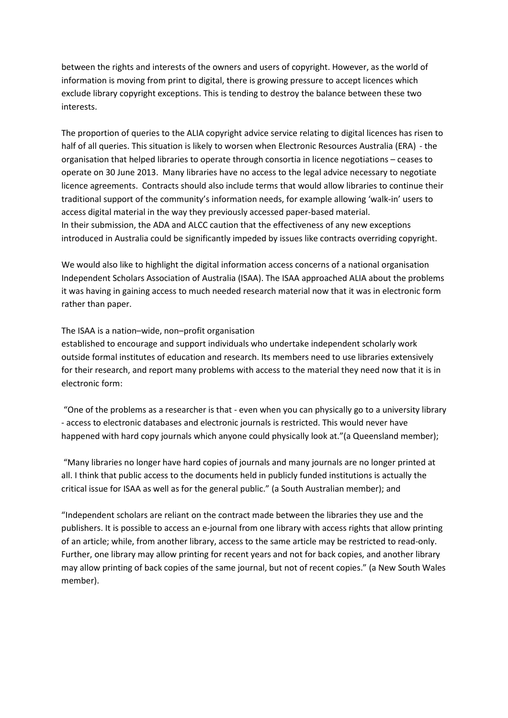between the rights and interests of the owners and users of copyright. However, as the world of information is moving from print to digital, there is growing pressure to accept licences which exclude library copyright exceptions. This is tending to destroy the balance between these two interests.

The proportion of queries to the ALIA copyright advice service relating to digital licences has risen to half of all queries. This situation is likely to worsen when Electronic Resources Australia (ERA) - the organisation that helped libraries to operate through consortia in licence negotiations – ceases to operate on 30 June 2013. Many libraries have no access to the legal advice necessary to negotiate licence agreements. Contracts should also include terms that would allow libraries to continue their traditional support of the community's information needs, for example allowing 'walk-in' users to access digital material in the way they previously accessed paper-based material. In their submission, the ADA and ALCC caution that the effectiveness of any new exceptions introduced in Australia could be significantly impeded by issues like contracts overriding copyright.

We would also like to highlight the digital information access concerns of a national organisation Independent Scholars Association of Australia (ISAA). The ISAA approached ALIA about the problems it was having in gaining access to much needed research material now that it was in electronic form rather than paper.

#### The ISAA is a nation–wide, non–profit organisation

established to encourage and support individuals who undertake independent scholarly work outside formal institutes of education and research. Its members need to use libraries extensively for their research, and report many problems with access to the material they need now that it is in electronic form:

"One of the problems as a researcher is that - even when you can physically go to a university library - access to electronic databases and electronic journals is restricted. This would never have happened with hard copy journals which anyone could physically look at."(a Queensland member);

"Many libraries no longer have hard copies of journals and many journals are no longer printed at all. I think that public access to the documents held in publicly funded institutions is actually the critical issue for ISAA as well as for the general public." (a South Australian member); and

"Independent scholars are reliant on the contract made between the libraries they use and the publishers. It is possible to access an e-journal from one library with access rights that allow printing of an article; while, from another library, access to the same article may be restricted to read-only. Further, one library may allow printing for recent years and not for back copies, and another library may allow printing of back copies of the same journal, but not of recent copies." (a New South Wales member).